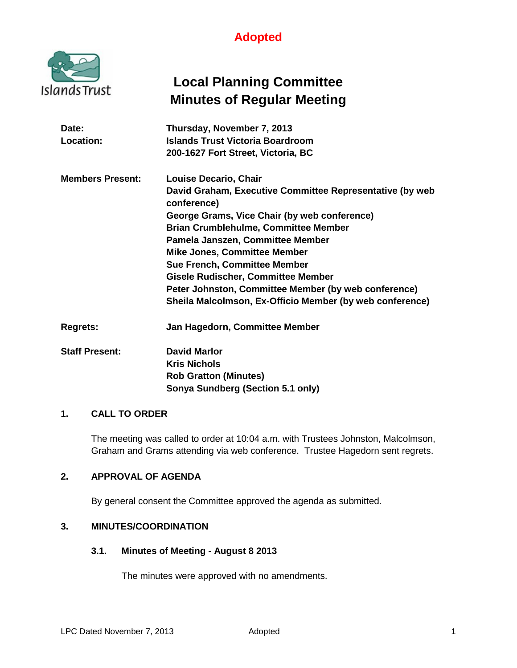

# **Local Planning Committee Minutes of Regular Meeting**

| Date:                   | Thursday, November 7, 2013                                              |
|-------------------------|-------------------------------------------------------------------------|
| Location:               | Islands Trust Victoria Boardroom                                        |
|                         | 200-1627 Fort Street, Victoria, BC                                      |
| <b>Members Present:</b> | <b>Louise Decario, Chair</b>                                            |
|                         | David Graham, Executive Committee Representative (by web<br>conference) |
|                         | George Grams, Vice Chair (by web conference)                            |
|                         | <b>Brian Crumblehulme, Committee Member</b>                             |
|                         | Pamela Janszen, Committee Member                                        |
|                         | <b>Mike Jones, Committee Member</b>                                     |
|                         | <b>Sue French, Committee Member</b>                                     |
|                         | <b>Gisele Rudischer, Committee Member</b>                               |
|                         | Peter Johnston, Committee Member (by web conference)                    |
|                         | Sheila Malcolmson, Ex-Officio Member (by web conference)                |
| <b>Regrets:</b>         | Jan Hagedorn, Committee Member                                          |
| <b>Staff Present:</b>   | <b>David Marlor</b>                                                     |

**Kris Nichols Rob Gratton (Minutes) Sonya Sundberg (Section 5.1 only)**

# **1. CALL TO ORDER**

The meeting was called to order at 10:04 a.m. with Trustees Johnston, Malcolmson, Graham and Grams attending via web conference. Trustee Hagedorn sent regrets.

## **2. APPROVAL OF AGENDA**

By general consent the Committee approved the agenda as submitted.

## **3. MINUTES/COORDINATION**

#### **3.1. Minutes of Meeting - August 8 2013**

The minutes were approved with no amendments.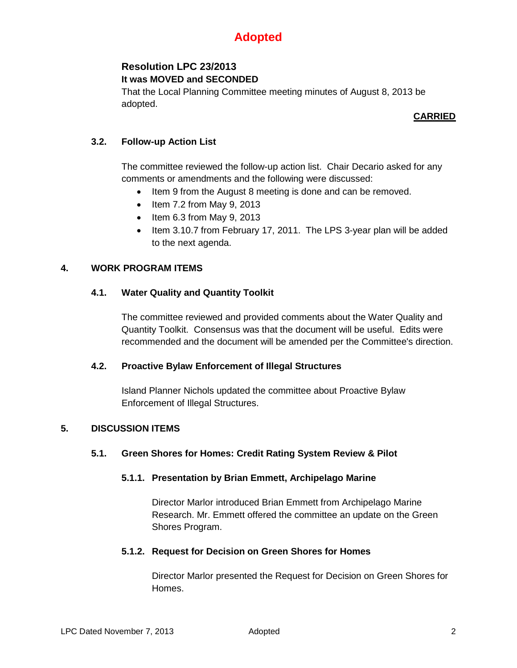## **Resolution LPC 23/2013 It was MOVED and SECONDED**

That the Local Planning Committee meeting minutes of August 8, 2013 be adopted.

## **CARRIED**

# **3.2. Follow-up Action List**

The committee reviewed the follow-up action list. Chair Decario asked for any comments or amendments and the following were discussed:

- Item 9 from the August 8 meeting is done and can be removed.
- Item 7.2 from May 9, 2013
- Item 6.3 from May 9, 2013
- Item 3.10.7 from February 17, 2011. The LPS 3-year plan will be added to the next agenda.

## **4. WORK PROGRAM ITEMS**

### **4.1. Water Quality and Quantity Toolkit**

The committee reviewed and provided comments about the Water Quality and Quantity Toolkit. Consensus was that the document will be useful. Edits were recommended and the document will be amended per the Committee's direction.

#### **4.2. Proactive Bylaw Enforcement of Illegal Structures**

Island Planner Nichols updated the committee about Proactive Bylaw Enforcement of Illegal Structures.

## **5. DISCUSSION ITEMS**

#### **5.1. Green Shores for Homes: Credit Rating System Review & Pilot**

#### **5.1.1. Presentation by Brian Emmett, Archipelago Marine**

Director Marlor introduced Brian Emmett from Archipelago Marine Research. Mr. Emmett offered the committee an update on the Green Shores Program.

## **5.1.2. Request for Decision on Green Shores for Homes**

Director Marlor presented the Request for Decision on Green Shores for Homes.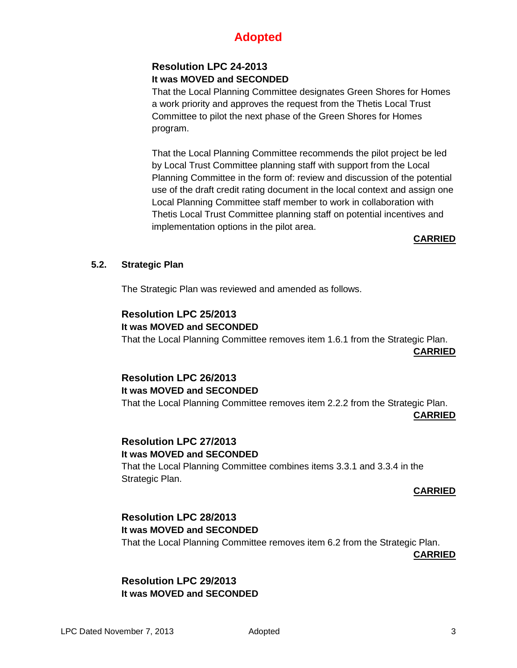# **Resolution LPC 24-2013 It was MOVED and SECONDED**

That the Local Planning Committee designates Green Shores for Homes a work priority and approves the request from the Thetis Local Trust Committee to pilot the next phase of the Green Shores for Homes program.

That the Local Planning Committee recommends the pilot project be led by Local Trust Committee planning staff with support from the Local Planning Committee in the form of: review and discussion of the potential use of the draft credit rating document in the local context and assign one Local Planning Committee staff member to work in collaboration with Thetis Local Trust Committee planning staff on potential incentives and implementation options in the pilot area.

# **CARRIED**

# **5.2. Strategic Plan**

The Strategic Plan was reviewed and amended as follows.

# **Resolution LPC 25/2013 It was MOVED and SECONDED**

That the Local Planning Committee removes item 1.6.1 from the Strategic Plan.

**CARRIED**

# **Resolution LPC 26/2013 It was MOVED and SECONDED**

That the Local Planning Committee removes item 2.2.2 from the Strategic Plan.

**CARRIED**

## **Resolution LPC 27/2013 It was MOVED and SECONDED**

That the Local Planning Committee combines items 3.3.1 and 3.3.4 in the Strategic Plan.

## **CARRIED**

# **Resolution LPC 28/2013**

# **It was MOVED and SECONDED**

That the Local Planning Committee removes item 6.2 from the Strategic Plan.

**CARRIED**

# **Resolution LPC 29/2013 It was MOVED and SECONDED**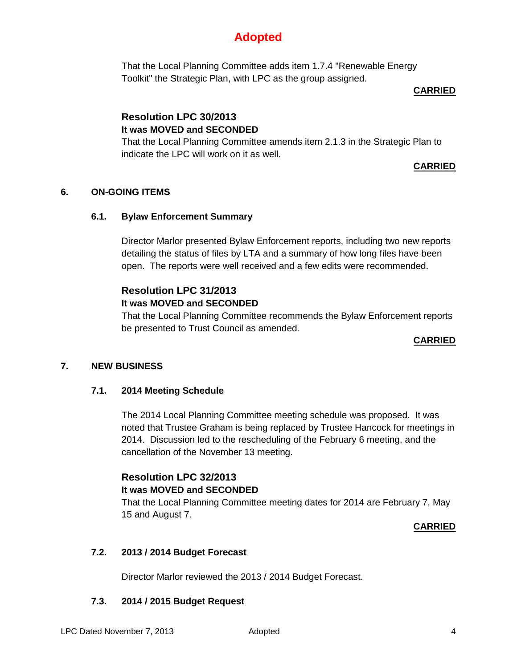That the Local Planning Committee adds item 1.7.4 "Renewable Energy Toolkit" the Strategic Plan, with LPC as the group assigned.

## **CARRIED**

# **Resolution LPC 30/2013 It was MOVED and SECONDED**

That the Local Planning Committee amends item 2.1.3 in the Strategic Plan to indicate the LPC will work on it as well.

## **CARRIED**

# **6. ON-GOING ITEMS**

# **6.1. Bylaw Enforcement Summary**

Director Marlor presented Bylaw Enforcement reports, including two new reports detailing the status of files by LTA and a summary of how long files have been open. The reports were well received and a few edits were recommended.

# **Resolution LPC 31/2013**

# **It was MOVED and SECONDED**

That the Local Planning Committee recommends the Bylaw Enforcement reports be presented to Trust Council as amended.

## **CARRIED**

# **7. NEW BUSINESS**

## **7.1. 2014 Meeting Schedule**

The 2014 Local Planning Committee meeting schedule was proposed. It was noted that Trustee Graham is being replaced by Trustee Hancock for meetings in 2014. Discussion led to the rescheduling of the February 6 meeting, and the cancellation of the November 13 meeting.

# **Resolution LPC 32/2013**

### **It was MOVED and SECONDED**

That the Local Planning Committee meeting dates for 2014 are February 7, May 15 and August 7.

## **CARRIED**

# **7.2. 2013 / 2014 Budget Forecast**

Director Marlor reviewed the 2013 / 2014 Budget Forecast.

## **7.3. 2014 / 2015 Budget Request**